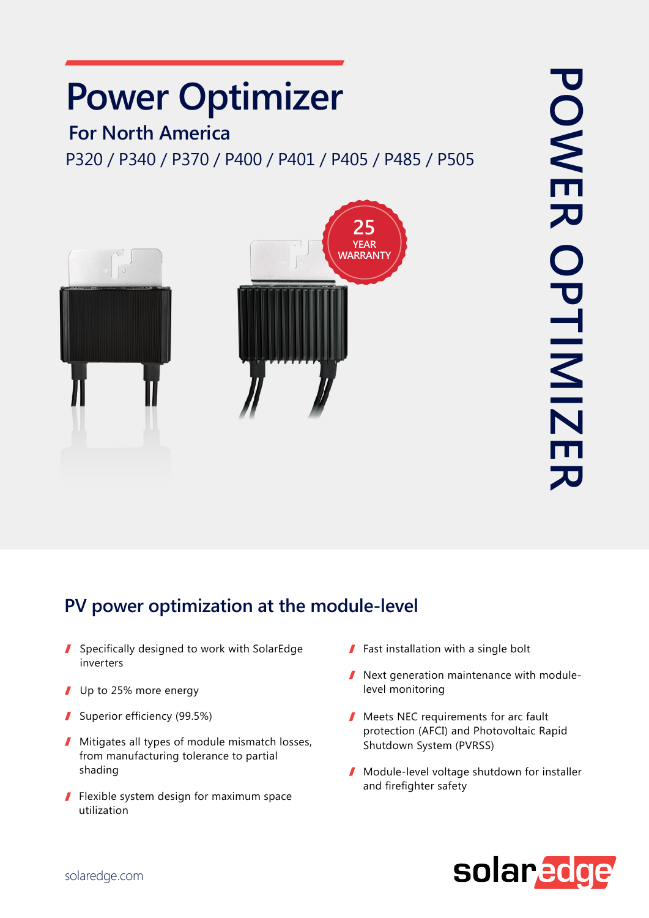# **Power Optimizer**

### **For North America**

P320 / P340 / P370 / P400 / P401 / P405 / P485 / P505



## PV power optimization at the module-level

- Specifically designed to work with SolarEdge inverters
- $\blacksquare$  Up to 25% more energy
- Superior efficiency  $(99.5%)$
- $\blacksquare$  Mitigates all types of module mismatch losses, from manufacturing tolerance to partial shading
- $\blacksquare$  Flexible system design for maximum space utilization
- $\blacksquare$  Fast installation with a single bolt
- Next generation maintenance with module-<br>level monitoring
- $\blacksquare$  Meets NEC requirements for arc fault protection (AFCI) and Photovoltaic Rapid Shutdown System (PVRSS)
- **I** Module-level voltage shutdown for installer and firefighter safety